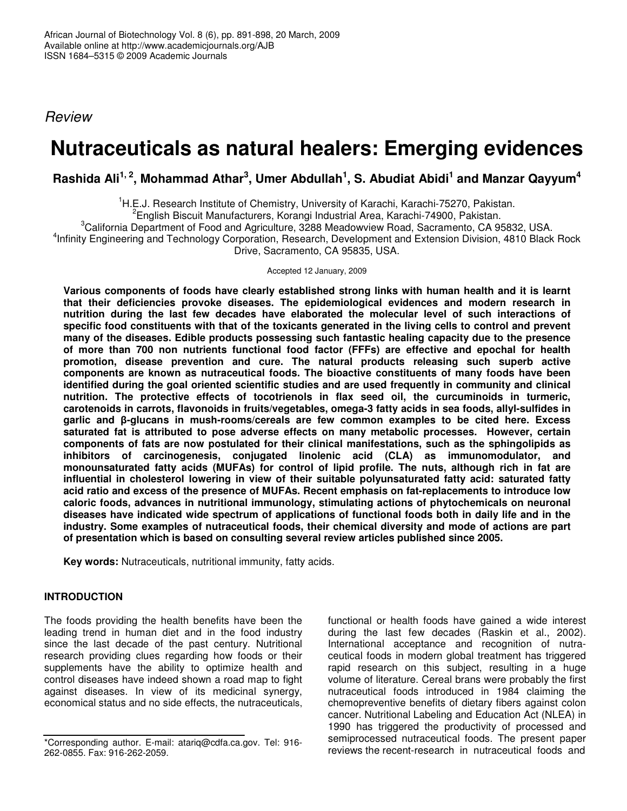*Review*

# **Nutraceuticals as natural healers: Emerging evidences**

# Rashida Ali $^{1,\,2}$ , Mohammad Athar $^3$ , Umer Abdullah $^1$ , S. Abudiat Abidi $^1$  and Manzar Qayyum $^4$

<sup>1</sup>H.E.J. Research Institute of Chemistry, University of Karachi, Karachi-75270, Pakistan.

2 English Biscuit Manufacturers, Korangi Industrial Area, Karachi-74900, Pakistan.

 ${}^{3}$ California Department of Food and Agriculture, 3288 Meadowview Road, Sacramento, CA 95832, USA.

4 Infinity Engineering and Technology Corporation, Research, Development and Extension Division, 4810 Black Rock Drive, Sacramento, CA 95835, USA.

Accepted 12 January, 2009

**Various components of foods have clearly established strong links with human health and it is learnt that their deficiencies provoke diseases. The epidemiological evidences and modern research in nutrition during the last few decades have elaborated the molecular level of such interactions of** specific food constituents with that of the toxicants generated in the living cells to control and prevent **many of the diseases. Edible products possessing such fantastic healing capacity due to the presence of more than 700 non nutrients functional food factor (FFFs) are effective and epochal for health promotion, disease prevention and cure. The natural products releasing such superb active components are known as nutraceutical foods. The bioactive constituents of many foods have been identified during the goal oriented scientific studies and are used frequently in community and clinical nutrition. The protective effects of tocotrienols in flax seed oil, the curcuminoids in turmeric, carotenoids in carrots, flavonoids in fruits/vegetables, omega-3 fatty acids in sea foods, allyl-sulfides in garlic and -glucans in mush-rooms/cereals are few common examples to be cited here. Excess saturated fat is attributed to pose adverse effects on many metabolic processes. However, certain components of fats are now postulated for their clinical manifestations, such as the sphingolipids as inhibitors of carcinogenesis, conjugated linolenic acid (CLA) as immunomodulator, and monounsaturated fatty acids (MUFAs) for control of lipid profile. The nuts, although rich in fat are influential in cholesterol lowering in view of their suitable polyunsaturated fatty acid: saturated fatty acid ratio and excess of the presence of MUFAs. Recent emphasis on fat-replacements to introduce low caloric foods, advances in nutritional immunology, stimulating actions of phytochemicals on neuronal diseases have indicated wide spectrum of applications of functional foods both in daily life and in the industry. Some examples of nutraceutical foods, their chemical diversity and mode of actions are part of presentation which is based on consulting several review articles published since 2005.**

**Key words:** Nutraceuticals, nutritional immunity, fatty acids.

# **INTRODUCTION**

The foods providing the health benefits have been the leading trend in human diet and in the food industry since the last decade of the past century. Nutritional research providing clues regarding how foods or their supplements have the ability to optimize health and control diseases have indeed shown a road map to fight against diseases. In view of its medicinal synergy, economical status and no side effects, the nutraceuticals, functional or health foods have gained a wide interest during the last few decades (Raskin et al., 2002). International acceptance and recognition of nutraceutical foods in modern global treatment has triggered rapid research on this subject, resulting in a huge volume of literature. Cereal brans were probably the first nutraceutical foods introduced in 1984 claiming the chemopreventive benefits of dietary fibers against colon cancer. Nutritional Labeling and Education Act (NLEA) in 1990 has triggered the productivity of processed and semiprocessed nutraceutical foods. The present paper reviews the recent-research in nutraceutical foods and

<sup>\*</sup>Corresponding author. E-mail: atariq@cdfa.ca.gov. Tel: 916- 262-0855. Fax: 916-262-2059.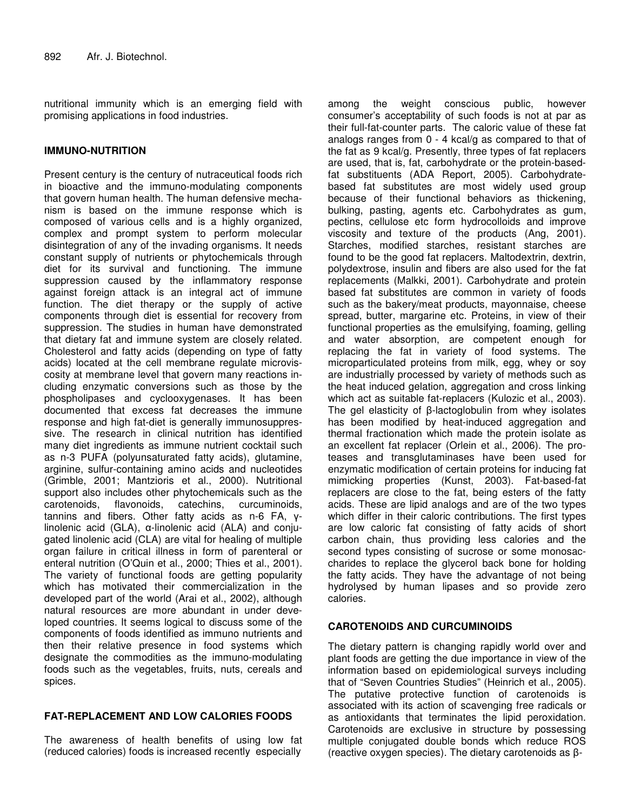nutritional immunity which is an emerging field with promising applications in food industries.

#### **IMMUNO-NUTRITION**

Present century is the century of nutraceutical foods rich in bioactive and the immuno-modulating components that govern human health. The human defensive mechanism is based on the immune response which is composed of various cells and is a highly organized, complex and prompt system to perform molecular disintegration of any of the invading organisms. It needs constant supply of nutrients or phytochemicals through diet for its survival and functioning. The immune suppression caused by the inflammatory response against foreign attack is an integral act of immune function. The diet therapy or the supply of active components through diet is essential for recovery from suppression. The studies in human have demonstrated that dietary fat and immune system are closely related. Cholesterol and fatty acids (depending on type of fatty acids) located at the cell membrane regulate microviscosity at membrane level that govern many reactions including enzymatic conversions such as those by the phospholipases and cyclooxygenases. It has been documented that excess fat decreases the immune response and high fat-diet is generally immunosuppressive. The research in clinical nutrition has identified many diet ingredients as immune nutrient cocktail such as n-3 PUFA (polyunsaturated fatty acids), glutamine, arginine, sulfur-containing amino acids and nucleotides (Grimble, 2001; Mantzioris et al., 2000). Nutritional support also includes other phytochemicals such as the carotenoids, flavonoids, catechins, curcuminoids, tannins and fibers. Other fatty acids as n-6 FA,  $\gamma$ linolenic acid (GLA), α-linolenic acid (ALA) and conjugated linolenic acid (CLA) are vital for healing of multiple organ failure in critical illness in form of parenteral or enteral nutrition (O'Quin et al., 2000; Thies et al., 2001). The variety of functional foods are getting popularity which has motivated their commercialization in the developed part of the world (Arai et al., 2002), although natural resources are more abundant in under developed countries. It seems logical to discuss some of the components of foods identified as immuno nutrients and then their relative presence in food systems which designate the commodities as the immuno-modulating foods such as the vegetables, fruits, nuts, cereals and spices.

# **FAT-REPLACEMENT AND LOW CALORIES FOODS**

The awareness of health benefits of using low fat (reduced calories) foods is increased recently especially

among the weight conscious public, however consumer's acceptability of such foods is not at par as their full-fat-counter parts. The caloric value of these fat analogs ranges from 0 - 4 kcal/g as compared to that of the fat as 9 kcal/g. Presently, three types of fat replacers are used, that is, fat, carbohydrate or the protein-basedfat substituents (ADA Report, 2005). Carbohydratebased fat substitutes are most widely used group because of their functional behaviors as thickening, bulking, pasting, agents etc. Carbohydrates as gum, pectins, cellulose etc form hydrocolloids and improve viscosity and texture of the products (Ang, 2001). Starches, modified starches, resistant starches are found to be the good fat replacers. Maltodextrin, dextrin, polydextrose, insulin and fibers are also used for the fat replacements (Malkki, 2001). Carbohydrate and protein based fat substitutes are common in variety of foods such as the bakery/meat products, mayonnaise, cheese spread, butter, margarine etc. Proteins, in view of their functional properties as the emulsifying, foaming, gelling and water absorption, are competent enough for replacing the fat in variety of food systems. The microparticulated proteins from milk, egg, whey or soy are industrially processed by variety of methods such as the heat induced gelation, aggregation and cross linking which act as suitable fat-replacers (Kulozic et al., 2003). The gel elasticity of  $\beta$ -lactoglobulin from whey isolates has been modified by heat-induced aggregation and thermal fractionation which made the protein isolate as an excellent fat replacer (Orlein et al., 2006). The proteases and transglutaminases have been used for enzymatic modification of certain proteins for inducing fat mimicking properties (Kunst, 2003). Fat-based-fat replacers are close to the fat, being esters of the fatty acids. These are lipid analogs and are of the two types which differ in their caloric contributions. The first types are low caloric fat consisting of fatty acids of short carbon chain, thus providing less calories and the second types consisting of sucrose or some monosaccharides to replace the glycerol back bone for holding the fatty acids. They have the advantage of not being hydrolysed by human lipases and so provide zero calories.

# **CAROTENOIDS AND CURCUMINOIDS**

The dietary pattern is changing rapidly world over and plant foods are getting the due importance in view of the information based on epidemiological surveys including that of "Seven Countries Studies" (Heinrich et al., 2005). The putative protective function of carotenoids is associated with its action of scavenging free radicals or as antioxidants that terminates the lipid peroxidation. Carotenoids are exclusive in structure by possessing multiple conjugated double bonds which reduce ROS (reactive oxygen species). The dietary carotenoids as  $\beta$ -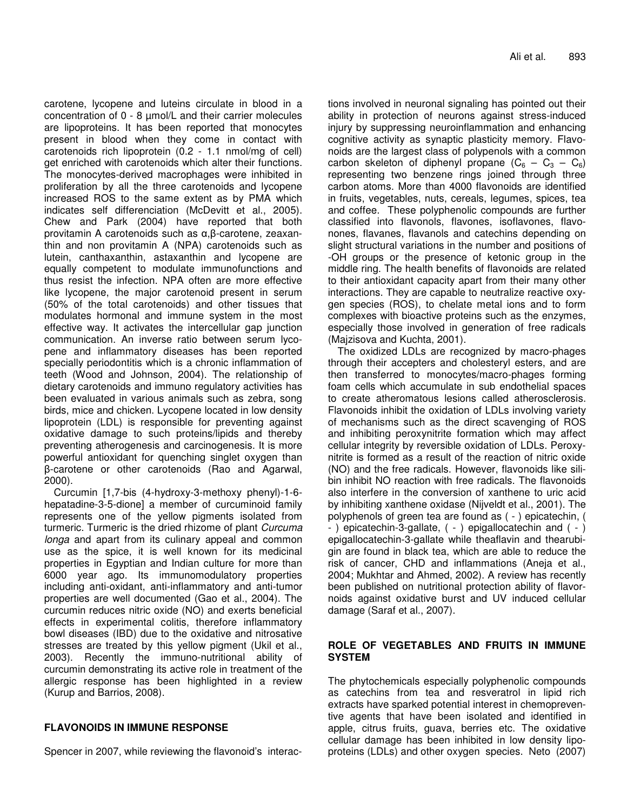carotene, lycopene and luteins circulate in blood in a concentration of 0 - 8 µmol/L and their carrier molecules are lipoproteins. It has been reported that monocytes present in blood when they come in contact with carotenoids rich lipoprotein (0.2 - 1.1 nmol/mg of cell) get enriched with carotenoids which alter their functions. The monocytes-derived macrophages were inhibited in proliferation by all the three carotenoids and lycopene increased ROS to the same extent as by PMA which indicates self differenciation (McDevitt et al., 2005). Chew and Park (2004) have reported that both provitamin A carotenoids such as α,β-carotene, zeaxanthin and non provitamin A (NPA) carotenoids such as lutein, canthaxanthin, astaxanthin and lycopene are equally competent to modulate immunofunctions and thus resist the infection. NPA often are more effective like lycopene, the major carotenoid present in serum (50% of the total carotenoids) and other tissues that modulates hormonal and immune system in the most effective way. It activates the intercellular gap junction communication. An inverse ratio between serum lycopene and inflammatory diseases has been reported specially periodontitis which is a chronic inflammation of teeth (Wood and Johnson, 2004). The relationship of dietary carotenoids and immuno regulatory activities has been evaluated in various animals such as zebra, song birds, mice and chicken. Lycopene located in low density lipoprotein (LDL) is responsible for preventing against oxidative damage to such proteins/lipids and thereby preventing atherogenesis and carcinogenesis. It is more powerful antioxidant for quenching singlet oxygen than -carotene or other carotenoids (Rao and Agarwal, 2000).

Curcumin [1,7-bis (4-hydroxy-3-methoxy phenyl)-1-6 hepatadine-3-5-dione] a member of curcuminoid family represents one of the yellow pigments isolated from turmeric. Turmeric is the dried rhizome of plant *Curcuma longa* and apart from its culinary appeal and common use as the spice, it is well known for its medicinal properties in Egyptian and Indian culture for more than 6000 year ago. Its immunomodulatory properties including anti-oxidant, anti-inflammatory and anti-tumor properties are well documented (Gao et al., 2004). The curcumin reduces nitric oxide (NO) and exerts beneficial effects in experimental colitis, therefore inflammatory bowl diseases (IBD) due to the oxidative and nitrosative stresses are treated by this yellow pigment (Ukil et al., 2003). Recently the immuno-nutritional ability of curcumin demonstrating its active role in treatment of the allergic response has been highlighted in a review (Kurup and Barrios, 2008).

#### **FLAVONOIDS IN IMMUNE RESPONSE**

Spencer in 2007, while reviewing the flavonoid's interac-

tions involved in neuronal signaling has pointed out their ability in protection of neurons against stress-induced injury by suppressing neuroinflammation and enhancing cognitive activity as synaptic plasticity memory. Flavonoids are the largest class of polypenols with a common carbon skeleton of diphenyl propane  $(C_6 - C_3 - C_6)$ representing two benzene rings joined through three carbon atoms. More than 4000 flavonoids are identified in fruits, vegetables, nuts, cereals, legumes, spices, tea and coffee. These polyphenolic compounds are further classified into flavonols, flavones, isoflavones, flavonones, flavanes, flavanols and catechins depending on slight structural variations in the number and positions of -OH groups or the presence of ketonic group in the middle ring. The health benefits of flavonoids are related to their antioxidant capacity apart from their many other interactions. They are capable to neutralize reactive oxygen species (ROS), to chelate metal ions and to form complexes with bioactive proteins such as the enzymes, especially those involved in generation of free radicals (Majzisova and Kuchta, 2001).

The oxidized LDLs are recognized by macro-phages through their accepters and cholesteryl esters, and are then transferred to monocytes/macro-phages forming foam cells which accumulate in sub endothelial spaces to create atheromatous lesions called atherosclerosis. Flavonoids inhibit the oxidation of LDLs involving variety of mechanisms such as the direct scavenging of ROS and inhibiting peroxynitrite formation which may affect cellular integrity by reversible oxidation of LDLs. Peroxynitrite is formed as a result of the reaction of nitric oxide (NO) and the free radicals. However, flavonoids like silibin inhibit NO reaction with free radicals. The flavonoids also interfere in the conversion of xanthene to uric acid by inhibiting xanthene oxidase (Nijveldt et al., 2001). The polyphenols of green tea are found as ( - ) epicatechin, ( - ) epicatechin-3-gallate, ( - ) epigallocatechin and ( - ) epigallocatechin-3-gallate while theaflavin and thearubigin are found in black tea, which are able to reduce the risk of cancer, CHD and inflammations (Aneja et al., 2004; Mukhtar and Ahmed, 2002). A review has recently been published on nutritional protection ability of flavornoids against oxidative burst and UV induced cellular damage (Saraf et al., 2007).

#### **ROLE OF VEGETABLES AND FRUITS IN IMMUNE SYSTEM**

The phytochemicals especially polyphenolic compounds as catechins from tea and resveratrol in lipid rich extracts have sparked potential interest in chemopreventive agents that have been isolated and identified in apple, citrus fruits, guava, berries etc. The oxidative cellular damage has been inhibited in low density lipoproteins (LDLs) and other oxygen species. Neto (2007)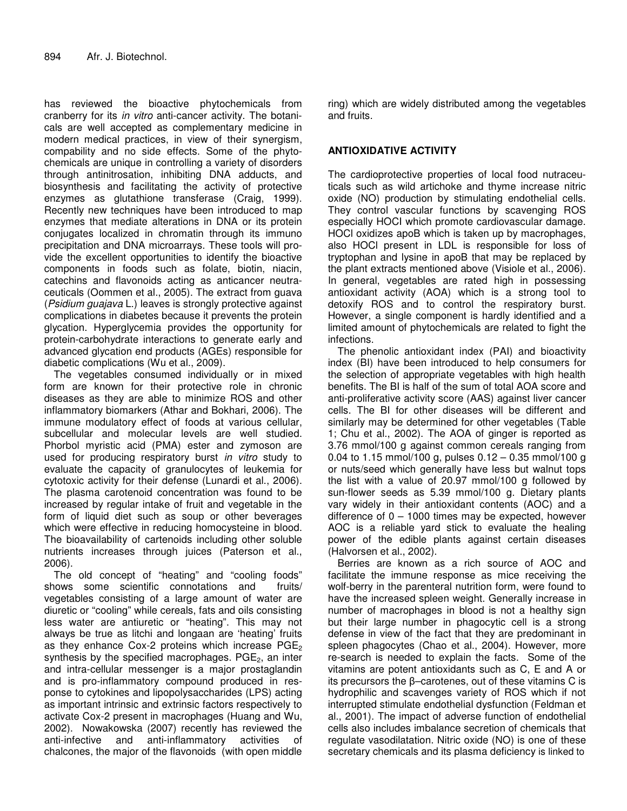has reviewed the bioactive phytochemicals from cranberry for its *in vitro* anti-cancer activity. The botanicals are well accepted as complementary medicine in modern medical practices, in view of their synergism, compability and no side effects. Some of the phytochemicals are unique in controlling a variety of disorders through antinitrosation, inhibiting DNA adducts, and biosynthesis and facilitating the activity of protective enzymes as glutathione transferase (Craig, 1999). Recently new techniques have been introduced to map enzymes that mediate alterations in DNA or its protein conjugates localized in chromatin through its immuno precipitation and DNA microarrays. These tools will provide the excellent opportunities to identify the bioactive components in foods such as folate, biotin, niacin, catechins and flavonoids acting as anticancer neutraceuticals (Oommen et al., 2005). The extract from guava (*Psidium guajava* L.) leaves is strongly protective against complications in diabetes because it prevents the protein glycation. Hyperglycemia provides the opportunity for protein-carbohydrate interactions to generate early and advanced glycation end products (AGEs) responsible for diabetic complications (Wu et al., 2009).

The vegetables consumed individually or in mixed form are known for their protective role in chronic diseases as they are able to minimize ROS and other inflammatory biomarkers (Athar and Bokhari, 2006). The immune modulatory effect of foods at various cellular, subcellular and molecular levels are well studied. Phorbol myristic acid (PMA) ester and zymoson are used for producing respiratory burst *in vitro* study to evaluate the capacity of granulocytes of leukemia for cytotoxic activity for their defense (Lunardi et al., 2006). The plasma carotenoid concentration was found to be increased by regular intake of fruit and vegetable in the form of liquid diet such as soup or other beverages which were effective in reducing homocysteine in blood. The bioavailability of cartenoids including other soluble nutrients increases through juices (Paterson et al., 2006).

The old concept of "heating" and "cooling foods" shows some scientific connotations and fruits/ vegetables consisting of a large amount of water are diuretic or "cooling" while cereals, fats and oils consisting less water are antiuretic or "heating". This may not always be true as litchi and longaan are 'heating' fruits as they enhance Cox-2 proteins which increase  $PGE<sub>2</sub>$ synthesis by the specified macrophages.  $PGE<sub>2</sub>$ , an inter and intra-cellular messenger is a major prostaglandin and is pro-inflammatory compound produced in response to cytokines and lipopolysaccharides (LPS) acting as important intrinsic and extrinsic factors respectively to activate Cox-2 present in macrophages (Huang and Wu, 2002). Nowakowska (2007) recently has reviewed the anti-infective and anti-inflammatory activities of chalcones, the major of the flavonoids (with open middle ring) which are widely distributed among the vegetables and fruits.

# **ANTIOXIDATIVE ACTIVITY**

The cardioprotective properties of local food nutraceuticals such as wild artichoke and thyme increase nitric oxide (NO) production by stimulating endothelial cells. They control vascular functions by scavenging ROS especially HOCI which promote cardiovascular damage. HOCl oxidizes apoB which is taken up by macrophages, also HOCl present in LDL is responsible for loss of tryptophan and lysine in apoB that may be replaced by the plant extracts mentioned above (Visiole et al., 2006). In general, vegetables are rated high in possessing antioxidant activity (AOA) which is a strong tool to detoxify ROS and to control the respiratory burst. However, a single component is hardly identified and a limited amount of phytochemicals are related to fight the infections.

The phenolic antioxidant index (PAI) and bioactivity index (BI) have been introduced to help consumers for the selection of appropriate vegetables with high health benefits. The BI is half of the sum of total AOA score and anti-proliferative activity score (AAS) against liver cancer cells. The BI for other diseases will be different and similarly may be determined for other vegetables (Table 1; Chu et al., 2002). The AOA of ginger is reported as 3.76 mmol/100 g against common cereals ranging from 0.04 to 1.15 mmol/100 g, pulses 0.12 – 0.35 mmol/100 g or nuts/seed which generally have less but walnut tops the list with a value of 20.97 mmol/100 g followed by sun-flower seeds as 5.39 mmol/100 g. Dietary plants vary widely in their antioxidant contents (AOC) and a difference of 0 – 1000 times may be expected, however AOC is a reliable yard stick to evaluate the healing power of the edible plants against certain diseases (Halvorsen et al., 2002).

Berries are known as a rich source of AOC and facilitate the immune response as mice receiving the wolf-berry in the parenteral nutrition form, were found to have the increased spleen weight. Generally increase in number of macrophages in blood is not a healthy sign but their large number in phagocytic cell is a strong defense in view of the fact that they are predominant in spleen phagocytes (Chao et al., 2004). However, more re-search is needed to explain the facts. Some of the vitamins are potent antioxidants such as C, E and A or its precursors the  $\beta$ -carotenes, out of these vitamins C is hydrophilic and scavenges variety of ROS which if not interrupted stimulate endothelial dysfunction (Feldman et al., 2001). The impact of adverse function of endothelial cells also includes imbalance secretion of chemicals that regulate vasodilatation. Nitric oxide (NO) is one of these secretary chemicals and its plasma deficiency is linked to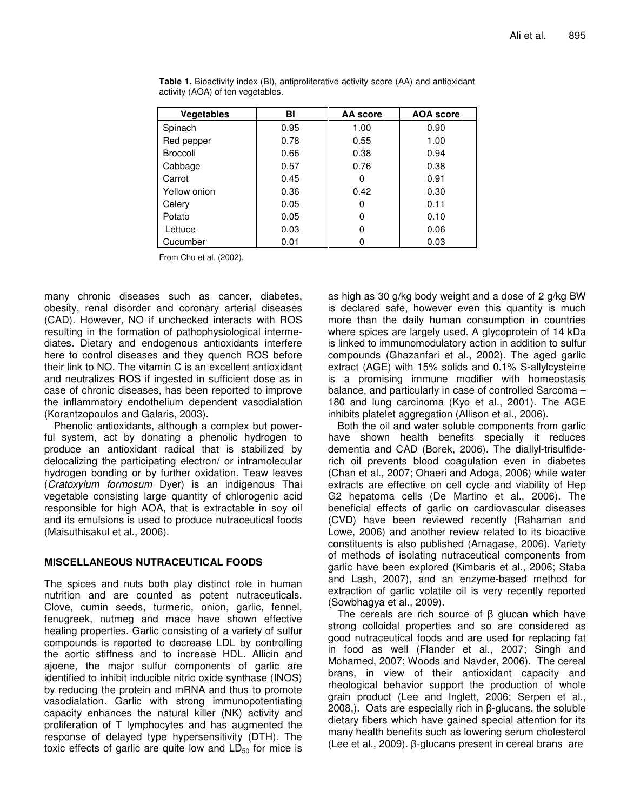| Vegetables      | BI   | AA score | <b>AOA</b> score |
|-----------------|------|----------|------------------|
| Spinach         | 0.95 | 1.00     | 0.90             |
| Red pepper      | 0.78 | 0.55     | 1.00             |
| <b>Broccoli</b> | 0.66 | 0.38     | 0.94             |
| Cabbage         | 0.57 | 0.76     | 0.38             |
| Carrot          | 0.45 | 0        | 0.91             |
| Yellow onion    | 0.36 | 0.42     | 0.30             |
| Celery          | 0.05 | 0        | 0.11             |
| Potato          | 0.05 | 0        | 0.10             |
| Lettuce         | 0.03 | 0        | 0.06             |
| Cucumber        | 0.01 |          | 0.03             |

**Table 1.** Bioactivity index (BI), antiproliferative activity score (AA) and antioxidant activity (AOA) of ten vegetables.

From Chu et al. (2002).

many chronic diseases such as cancer, diabetes, obesity, renal disorder and coronary arterial diseases (CAD). However, NO if unchecked interacts with ROS resulting in the formation of pathophysiological intermediates. Dietary and endogenous antioxidants interfere here to control diseases and they quench ROS before their link to NO. The vitamin C is an excellent antioxidant and neutralizes ROS if ingested in sufficient dose as in case of chronic diseases, has been reported to improve the inflammatory endothelium dependent vasodialation (Korantzopoulos and Galaris, 2003).

Phenolic antioxidants, although a complex but powerful system, act by donating a phenolic hydrogen to produce an antioxidant radical that is stabilized by delocalizing the participating electron/ or intramolecular hydrogen bonding or by further oxidation. Teaw leaves (*Cratoxylum formosum* Dyer) is an indigenous Thai vegetable consisting large quantity of chlorogenic acid responsible for high AOA, that is extractable in soy oil and its emulsions is used to produce nutraceutical foods (Maisuthisakul et al., 2006).

#### **MISCELLANEOUS NUTRACEUTICAL FOODS**

The spices and nuts both play distinct role in human nutrition and are counted as potent nutraceuticals. Clove, cumin seeds, turmeric, onion, garlic, fennel, fenugreek, nutmeg and mace have shown effective healing properties. Garlic consisting of a variety of sulfur compounds is reported to decrease LDL by controlling the aortic stiffness and to increase HDL. Allicin and ajoene, the major sulfur components of garlic are identified to inhibit inducible nitric oxide synthase (INOS) by reducing the protein and mRNA and thus to promote vasodialation. Garlic with strong immunopotentiating capacity enhances the natural killer (NK) activity and proliferation of T lymphocytes and has augmented the response of delayed type hypersensitivity (DTH). The toxic effects of garlic are quite low and  $LD_{50}$  for mice is

as high as 30 g/kg body weight and a dose of 2 g/kg BW is declared safe, however even this quantity is much more than the daily human consumption in countries where spices are largely used. A glycoprotein of 14 kDa is linked to immunomodulatory action in addition to sulfur compounds (Ghazanfari et al., 2002). The aged garlic extract (AGE) with 15% solids and 0.1% S-allylcysteine is a promising immune modifier with homeostasis balance, and particularly in case of controlled Sarcoma – 180 and lung carcinoma (Kyo et al., 2001). The AGE inhibits platelet aggregation (Allison et al., 2006).

Both the oil and water soluble components from garlic have shown health benefits specially it reduces dementia and CAD (Borek, 2006). The diallyl-trisulfiderich oil prevents blood coagulation even in diabetes (Chan et al., 2007; Ohaeri and Adoga, 2006) while water extracts are effective on cell cycle and viability of Hep G2 hepatoma cells (De Martino et al., 2006). The beneficial effects of garlic on cardiovascular diseases (CVD) have been reviewed recently (Rahaman and Lowe, 2006) and another review related to its bioactive constituents is also published (Amagase, 2006). Variety of methods of isolating nutraceutical components from garlic have been explored (Kimbaris et al., 2006; Staba and Lash, 2007), and an enzyme-based method for extraction of garlic volatile oil is very recently reported (Sowbhagya et al., 2009).

The cereals are rich source of  $\beta$  glucan which have strong colloidal properties and so are considered as good nutraceutical foods and are used for replacing fat in food as well (Flander et al., 2007; Singh and Mohamed, 2007; Woods and Navder, 2006). The cereal brans, in view of their antioxidant capacity and rheological behavior support the production of whole grain product (Lee and Inglett, 2006; Serpen et al.,  $2008$ ,). Oats are especially rich in  $\beta$ -glucans, the soluble dietary fibers which have gained special attention for its many health benefits such as lowering serum cholesterol (Lee et al., 2009).  $\beta$ -glucans present in cereal brans are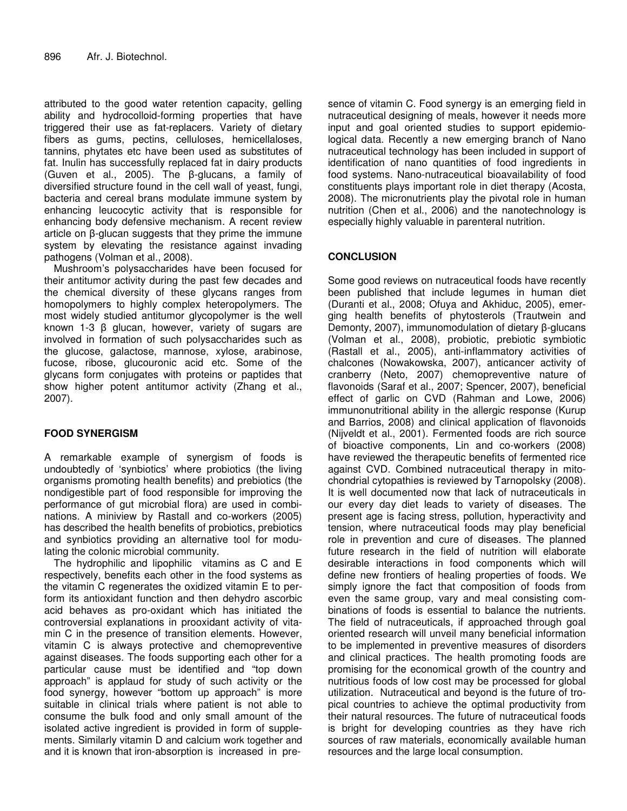attributed to the good water retention capacity, gelling ability and hydrocolloid-forming properties that have triggered their use as fat-replacers. Variety of dietary fibers as gums, pectins, celluloses, hemicellaloses, tannins, phytates etc have been used as substitutes of fat. Inulin has successfully replaced fat in dairy products (Guven et al., 2005). The  $\beta$ -glucans, a family of diversified structure found in the cell wall of yeast, fungi, bacteria and cereal brans modulate immune system by enhancing leucocytic activity that is responsible for enhancing body defensive mechanism. A recent review article on  $\beta$ -glucan suggests that they prime the immune system by elevating the resistance against invading pathogens (Volman et al., 2008).

Mushroom's polysaccharides have been focused for their antitumor activity during the past few decades and the chemical diversity of these glycans ranges from homopolymers to highly complex heteropolymers. The most widely studied antitumor glycopolymer is the well known 1-3 B glucan, however, variety of sugars are involved in formation of such polysaccharides such as the glucose, galactose, mannose, xylose, arabinose, fucose, ribose, glucouronic acid etc. Some of the glycans form conjugates with proteins or paptides that show higher potent antitumor activity (Zhang et al., 2007).

# **FOOD SYNERGISM**

A remarkable example of synergism of foods is undoubtedly of 'synbiotics' where probiotics (the living organisms promoting health benefits) and prebiotics (the nondigestible part of food responsible for improving the performance of gut microbial flora) are used in combinations. A miniview by Rastall and co-workers (2005) has described the health benefits of probiotics, prebiotics and synbiotics providing an alternative tool for modulating the colonic microbial community.

The hydrophilic and lipophilic vitamins as C and E respectively, benefits each other in the food systems as the vitamin C regenerates the oxidized vitamin E to perform its antioxidant function and then dehydro ascorbic acid behaves as pro-oxidant which has initiated the controversial explanations in prooxidant activity of vitamin C in the presence of transition elements. However, vitamin C is always protective and chemopreventive against diseases. The foods supporting each other for a particular cause must be identified and "top down approach" is applaud for study of such activity or the food synergy, however "bottom up approach" is more suitable in clinical trials where patient is not able to consume the bulk food and only small amount of the isolated active ingredient is provided in form of supplements. Similarly vitamin D and calcium work together and and it is known that iron-absorption is increased in presence of vitamin C. Food synergy is an emerging field in nutraceutical designing of meals, however it needs more input and goal oriented studies to support epidemiological data. Recently a new emerging branch of Nano nutraceutical technology has been included in support of identification of nano quantities of food ingredients in food systems. Nano-nutraceutical bioavailability of food constituents plays important role in diet therapy (Acosta, 2008). The micronutrients play the pivotal role in human nutrition (Chen et al., 2006) and the nanotechnology is especially highly valuable in parenteral nutrition.

# **CONCLUSION**

Some good reviews on nutraceutical foods have recently been published that include legumes in human diet (Duranti et al., 2008; Ofuya and Akhiduc, 2005), emerging health benefits of phytosterols (Trautwein and Demonty, 2007), immunomodulation of dietary B-glucans (Volman et al., 2008), probiotic, prebiotic symbiotic (Rastall et al., 2005), anti-inflammatory activities of chalcones (Nowakowska, 2007), anticancer activity of cranberry (Neto, 2007) chemopreventive nature of flavonoids (Saraf et al., 2007; Spencer, 2007), beneficial effect of garlic on CVD (Rahman and Lowe, 2006) immunonutritional ability in the allergic response (Kurup and Barrios, 2008) and clinical application of flavonoids (Nijveldt et al., 2001). Fermented foods are rich source of bioactive components, Lin and co-workers (2008) have reviewed the therapeutic benefits of fermented rice against CVD. Combined nutraceutical therapy in mitochondrial cytopathies is reviewed by Tarnopolsky (2008). It is well documented now that lack of nutraceuticals in our every day diet leads to variety of diseases. The present age is facing stress, pollution, hyperactivity and tension, where nutraceutical foods may play beneficial role in prevention and cure of diseases. The planned future research in the field of nutrition will elaborate desirable interactions in food components which will define new frontiers of healing properties of foods. We simply ignore the fact that composition of foods from even the same group, vary and meal consisting combinations of foods is essential to balance the nutrients. The field of nutraceuticals, if approached through goal oriented research will unveil many beneficial information to be implemented in preventive measures of disorders and clinical practices. The health promoting foods are promising for the economical growth of the country and nutritious foods of low cost may be processed for global utilization. Nutraceutical and beyond is the future of tropical countries to achieve the optimal productivity from their natural resources. The future of nutraceutical foods is bright for developing countries as they have rich sources of raw materials, economically available human resources and the large local consumption.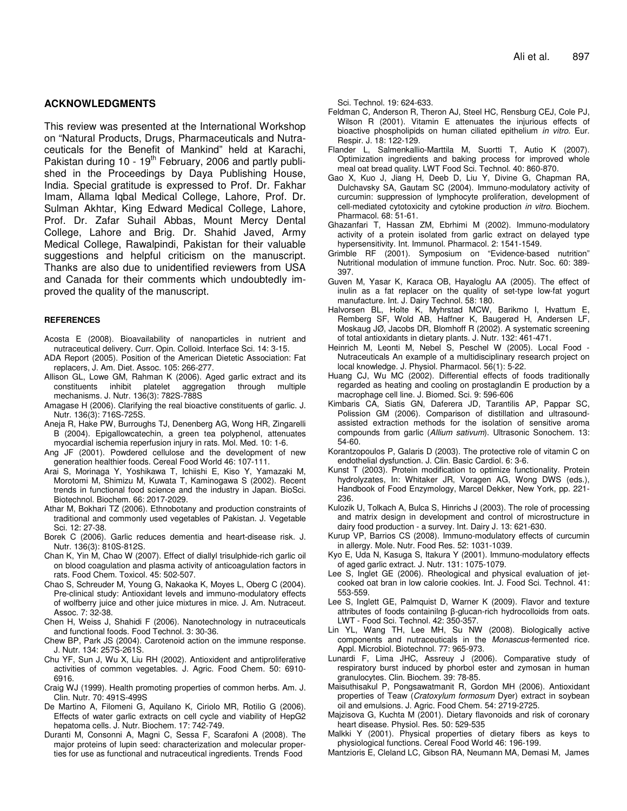#### **ACKNOWLEDGMENTS**

This review was presented at the International Workshop on "Natural Products, Drugs, Pharmaceuticals and Nutraceuticals for the Benefit of Mankind" held at Karachi, Pakistan during 10 - 19<sup>th</sup> February, 2006 and partly published in the Proceedings by Daya Publishing House, India. Special gratitude is expressed to Prof. Dr. Fakhar Imam, Allama Iqbal Medical College, Lahore, Prof. Dr. Sulman Akhtar, King Edward Medical College, Lahore, Prof. Dr. Zafar Suhail Abbas, Mount Mercy Dental College, Lahore and Brig. Dr. Shahid Javed, Army Medical College, Rawalpindi, Pakistan for their valuable suggestions and helpful criticism on the manuscript. Thanks are also due to unidentified reviewers from USA and Canada for their comments which undoubtedly improved the quality of the manuscript.

#### **REFERENCES**

- Acosta E (2008). Bioavailability of nanoparticles in nutrient and nutraceutical delivery. Curr. Opin. Colloid. Interface Sci. 14: 3-15.
- ADA Report (2005). Position of the American Dietetic Association: Fat replacers, J. Am. Diet. Assoc. 105: 266-277.
- Allison GL, Lowe GM, Rahman K (2006). Aged garlic extract and its constituents inhibit platelet aggregation through mechanisms. J. Nutr. 136(3): 782S-788S
- Amagase H (2006). Clarifying the real bioactive constituents of garlic. J. Nutr. 136(3): 716S-725S.
- Aneja R, Hake PW, Burroughs TJ, Denenberg AG, Wong HR, Zingarelli B (2004). Epigallowcatechin, a green tea polyphenol, attenuates myocardial ischemia reperfusion injury in rats. Mol. Med. 10: 1-6.
- Ang JF (2001). Powdered cellulose and the development of new generation healthier foods. Cereal Food World 46: 107-111.
- Arai S, Morinaga Y, Yoshikawa T, Ichiishi E, Kiso Y, Yamazaki M, Morotomi M, Shimizu M, Kuwata T, Kaminogawa S (2002). Recent trends in functional food science and the industry in Japan. BioSci. Biotechnol. Biochem. 66: 2017-2029.
- Athar M, Bokhari TZ (2006). Ethnobotany and production constraints of traditional and commonly used vegetables of Pakistan. J. Vegetable Sci. 12: 27-38.
- Borek C (2006). Garlic reduces dementia and heart-disease risk. J. Nutr. 136(3): 810S-812S.
- Chan K, Yin M, Chao W (2007). Effect of diallyl trisulphide-rich garlic oil on blood coagulation and plasma activity of anticoagulation factors in rats. Food Chem. Toxicol. 45: 502-507.
- Chao S, Schreuder M, Young G, Nakaoka K, Moyes L, Oberg C (2004). Pre-clinical study: Antioxidant levels and immuno-modulatory effects of wolfberry juice and other juice mixtures in mice. J. Am. Nutraceut. Assoc. 7: 32-38.
- Chen H, Weiss J, Shahidi F (2006). Nanotechnology in nutraceuticals and functional foods. Food Technol. 3: 30-36.
- Chew BP, Park JS (2004). Carotenoid action on the immune response. J. Nutr. 134: 257S-261S.
- Chu YF, Sun J, Wu X, Liu RH (2002). Antioxident and antiproliferative activities of common vegetables. J. Agric. Food Chem. 50: 6910- 6916.
- Craig WJ (1999). Health promoting properties of common herbs. Am. J. Clin. Nutr. 70: 491S-499S
- De Martino A, Filomeni G, Aquilano K, Ciriolo MR, Rotilio G (2006). Effects of water garlic extracts on cell cycle and viability of HepG2 hepatoma cells. J. Nutr. Biochem. 17: 742-749.
- Duranti M, Consonni A, Magni C, Sessa F, Scarafoni A (2008). The major proteins of lupin seed: characterization and molecular properties for use as functional and nutraceutical ingredients. Trends Food

Sci. Technol. 19: 624-633.

- Feldman C, Anderson R, Theron AJ, Steel HC, Rensburg CEJ, Cole PJ, Wilson R (2001). Vitamin E attenuates the injurious effects of bioactive phospholipids on human ciliated epithelium *in vitro*. Eur. Respir. J. 18: 122-129.
- Flander L, Salmenkallio-Marttila M, Suortti T, Autio K (2007). Optimization ingredients and baking process for improved whole meal oat bread quality. LWT Food Sci. Technol. 40: 860-870.
- Gao X, Kuo J, Jiang H, Deeb D, Liu Y, Divine G, Chapman RA, Dulchavsky SA, Gautam SC (2004). Immuno-modulatory activity of curcumin: suppression of lymphocyte proliferation, development of cell-mediated cytotoxicity and cytokine production *in vitro*. Biochem. Pharmacol. 68: 51-61.
- Ghazanfari T, Hassan ZM, Ebrhimi M (2002). Immuno-modulatory activity of a protein isolated from garlic extract on delayed type hypersensitivity. Int. Immunol. Pharmacol. 2: 1541-1549.
- Grimble RF (2001). Symposium on "Evidence-based nutrition" Nutritional modulation of immune function. Proc. Nutr. Soc. 60: 389- 397.
- Guven M, Yasar K, Karaca OB, Hayaloglu AA (2005). The effect of inulin as a fat replacer on the quality of set-type low-fat yogurt manufacture. Int. J. Dairy Technol. 58: 180.
- Halvorsen BL, Holte K, Myhrstad MCW, Barikmo I, Hvattum E, Remberg SF, Wold AB, Haffner K, Baugerød H, Andersen LF, Moskaug JØ, Jacobs DR, Blomhoff R (2002). A systematic screening of total antioxidants in dietary plants. J. Nutr. 132: 461-471.
- Heinrich M, Leonti M, Nebel S, Peschel W (2005). Local Food Nutraceuticals An example of a multidisciplinary research project on local knowledge. J. Physiol. Pharmacol. 56(1): 5-22.
- Huang CJ, Wu MC (2002). Differential effects of foods traditionally regarded as heating and cooling on prostaglandin E production by a macrophage cell line. J. Biomed. Sci. 9: 596-606
- Kimbaris CA, Siatis GN, Daferera JD, Tarantilis AP, Pappar SC, Polission GM (2006). Comparison of distillation and ultrasoundassisted extraction methods for the isolation of sensitive aroma compounds from garlic (*Allium sativum*). Ultrasonic Sonochem. 13: 54-60.
- Korantzopoulos P, Galaris D (2003). The protective role of vitamin C on endothelial dysfunction. J. Clin. Basic Cardiol. 6: 3-6.
- Kunst T (2003). Protein modification to optimize functionality. Protein hydrolyzates, In: Whitaker JR, Voragen AG, Wong DWS (eds.), Handbook of Food Enzymology, Marcel Dekker, New York, pp. 221- 236.
- Kulozik U, Tolkach A, Bulca S, Hinrichs J (2003). The role of processing and matrix design in development and control of microstructure in dairy food production - a survey. Int. Dairy J. 13: 621-630.
- Kurup VP, Barrios CS (2008). Immuno-modulatory effects of curcumin in allergy. Mole. Nutr. Food Res. 52: 1031-1039.
- Kyo E, Uda N, Kasuga S, Itakura Y (2001). Immuno-modulatory effects of aged garlic extract. J. Nutr. 131: 1075-1079.
- Lee S, Inglet GE (2006). Rheological and physical evaluation of jetcooked oat bran in low calorie cookies. Int. J. Food Sci. Technol. 41: 553-559.
- Lee S, Inglett GE, Palmquist D, Warner K (2009). Flavor and texture  $atributes$  of foods containilng  $\beta$ -glucan-rich hydrocolloids from oats. LWT - Food Sci. Technol. 42: 350-357.
- Lin YL, Wang TH, Lee MH, Su NW (2008). Biologically active components and nutraceuticals in the *Monascus-*fermented rice. Appl. Microbiol. Biotechnol. 77: 965-973.
- Lunardi F, Lima JHC, Assreuy J (2006). Comparative study of respiratory burst induced by phorbol ester and zymosan in human granulocytes. Clin. Biochem. 39: 78-85.
- Maisuthisakul P, Pongsawatmanit R, Gordon MH (2006). Antioxidant properties of Teaw (*Cratoxylum formosum* Dyer) extract in soybean oil and emulsions. J. Agric. Food Chem. 54: 2719-2725.
- Majzisova G, Kuchta M (2001). Dietary flavonoids and risk of coronary heart disease. Physiol. Res. 50: 529-535
- Malkki Y (2001). Physical properties of dietary fibers as keys to physiological functions. Cereal Food World 46: 196-199.
- Mantzioris E, Cleland LC, Gibson RA, Neumann MA, Demasi M, James